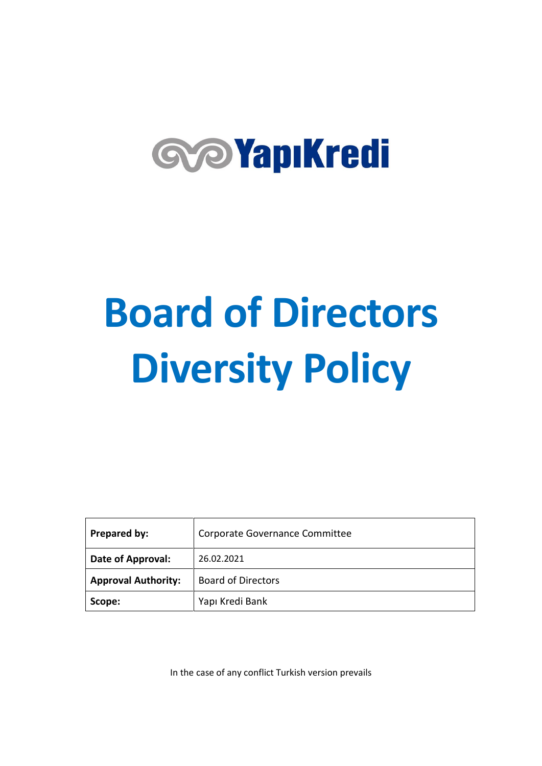# **GOYapıKredi**

# **Board of Directors Diversity Policy**

| Prepared by:               | Corporate Governance Committee |
|----------------------------|--------------------------------|
| Date of Approval:          | 26.02.2021                     |
| <b>Approval Authority:</b> | <b>Board of Directors</b>      |
| Scope:                     | Yapı Kredi Bank                |

In the case of any conflict Turkish version prevails